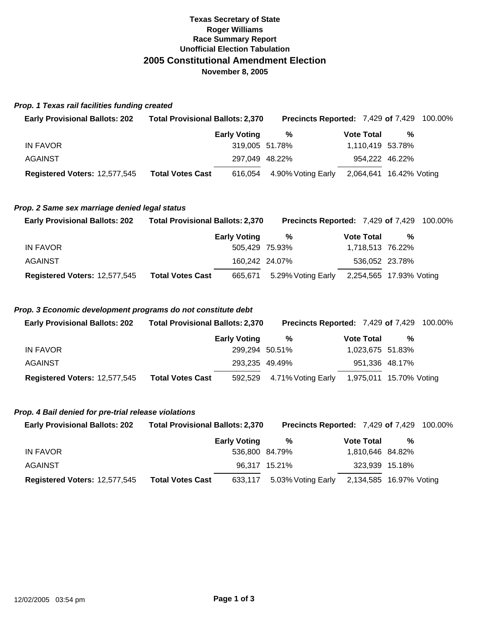## **Texas Secretary of State Roger Williams Race Summary Report Unofficial Election Tabulation 2005 Constitutional Amendment Election November 8, 2005**

### *Prop. 1 Texas rail facilities funding created*

| <b>Early Provisional Ballots: 202</b> | <b>Total Provisional Ballots: 2,370</b> | <b>Precincts Reported: 7,429 of 7,429 100.00%</b> |                         |                |  |
|---------------------------------------|-----------------------------------------|---------------------------------------------------|-------------------------|----------------|--|
|                                       | <b>Early Voting</b>                     | %                                                 | <b>Vote Total</b>       | %              |  |
| IN FAVOR                              |                                         | 319,005 51.78%                                    | 1,110,419 53.78%        |                |  |
| <b>AGAINST</b>                        |                                         | 297.049 48.22%                                    |                         | 954,222 46.22% |  |
| Registered Voters: 12,577,545         | <b>Total Votes Cast</b>                 | 616,054 4.90% Voting Early                        | 2,064,641 16.42% Voting |                |  |

#### *Prop. 2 Same sex marriage denied legal status*

| <b>Early Provisional Ballots: 202</b> | <b>Total Provisional Ballots: 2,370</b> |                     | <b>Precincts Reported: 7,429 of 7,429 100.00%</b> |                   |                         |  |
|---------------------------------------|-----------------------------------------|---------------------|---------------------------------------------------|-------------------|-------------------------|--|
|                                       |                                         | <b>Early Voting</b> | %                                                 | <b>Vote Total</b> | %                       |  |
| IN FAVOR                              |                                         | 505,429 75.93%      |                                                   |                   | 1,718,513 76.22%        |  |
| AGAINST                               |                                         | 160,242 24.07%      |                                                   |                   | 536,052 23.78%          |  |
| Registered Voters: 12,577,545         | <b>Total Votes Cast</b>                 | 665.671             | 5.29% Voting Early                                |                   | 2,254,565 17.93% Voting |  |

### *Prop. 3 Economic development programs do not constitute debt*

| <b>Early Provisional Ballots: 202</b> | <b>Total Provisional Ballots: 2,370</b> |                     | <b>Precincts Reported: 7,429 of 7,429 100.00%</b> |                   |                         |  |
|---------------------------------------|-----------------------------------------|---------------------|---------------------------------------------------|-------------------|-------------------------|--|
|                                       |                                         | <b>Early Voting</b> | %                                                 | <b>Vote Total</b> | %                       |  |
| IN FAVOR                              |                                         | 299.294 50.51%      |                                                   |                   | 1,023,675 51.83%        |  |
| AGAINST                               |                                         | 293,235 49.49%      |                                                   |                   | 951,336 48.17%          |  |
| Registered Voters: 12,577,545         | <b>Total Votes Cast</b>                 |                     | 592,529 4.71% Voting Early                        |                   | 1,975,011 15.70% Voting |  |

#### *Prop. 4 Bail denied for pre-trial release violations*

| <b>Early Provisional Ballots: 202</b> | <b>Total Provisional Ballots: 2,370</b> |                     | <b>Precincts Reported: 7,429 of 7,429 100.00%</b> |                   |                         |  |
|---------------------------------------|-----------------------------------------|---------------------|---------------------------------------------------|-------------------|-------------------------|--|
|                                       |                                         | <b>Early Voting</b> | %                                                 | <b>Vote Total</b> | %                       |  |
| IN FAVOR                              |                                         | 536,800 84.79%      |                                                   |                   | 1,810,646 84.82%        |  |
| <b>AGAINST</b>                        |                                         |                     | 96.317 15.21%                                     |                   | 323,939 15.18%          |  |
| Registered Voters: 12,577,545         | <b>Total Votes Cast</b>                 | 633,117             | 5.03% Voting Early                                |                   | 2,134,585 16.97% Voting |  |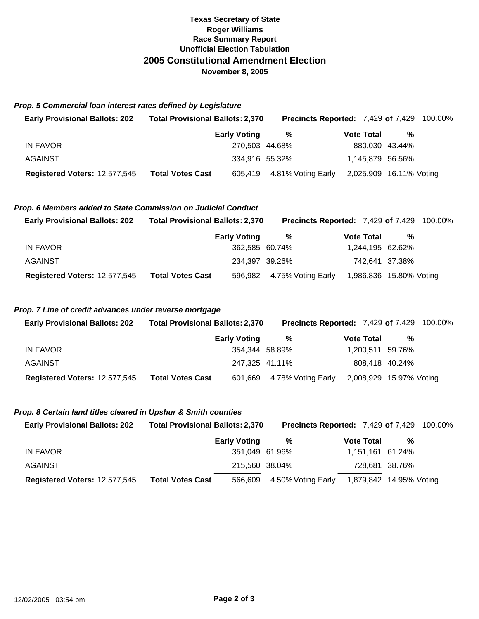# **Texas Secretary of State Roger Williams Race Summary Report Unofficial Election Tabulation 2005 Constitutional Amendment Election November 8, 2005**

*Prop. 5 Commercial loan interest rates defined by Legislature*

| <b>Early Provisional Ballots: 202</b> | <b>Total Provisional Ballots: 2,370</b> |                     | <b>Precincts Reported: 7,429 of 7,429 100.00%</b> |                         |                |  |
|---------------------------------------|-----------------------------------------|---------------------|---------------------------------------------------|-------------------------|----------------|--|
|                                       |                                         | <b>Early Voting</b> | %                                                 | <b>Vote Total</b>       | %              |  |
| IN FAVOR                              |                                         | 270.503 44.68%      |                                                   |                         | 880.030 43.44% |  |
| AGAINST                               |                                         | 334,916 55.32%      |                                                   | 1,145,879 56.56%        |                |  |
| Registered Voters: 12,577,545         | <b>Total Votes Cast</b>                 |                     | 605,419 4.81% Voting Early                        | 2,025,909 16.11% Voting |                |  |

# *Prop. 6 Members added to State Commission on Judicial Conduct*

| <b>Early Provisional Ballots: 202</b> | <b>Total Provisional Ballots: 2,370</b> |                     | <b>Precincts Reported: 7,429 of 7,429 100.00%</b> |                   |                         |  |
|---------------------------------------|-----------------------------------------|---------------------|---------------------------------------------------|-------------------|-------------------------|--|
|                                       |                                         | <b>Early Voting</b> | %                                                 | <b>Vote Total</b> | %                       |  |
| IN FAVOR                              |                                         | 362,585 60.74%      |                                                   |                   | 1,244,195 62.62%        |  |
| <b>AGAINST</b>                        |                                         | 234,397 39.26%      |                                                   |                   | 742,641 37.38%          |  |
| Registered Voters: 12,577,545         | <b>Total Votes Cast</b>                 |                     | 596,982 4.75% Voting Early                        |                   | 1,986,836 15.80% Voting |  |

### *Prop. 7 Line of credit advances under reverse mortgage*

| <b>Early Provisional Ballots: 202</b> | <b>Total Provisional Ballots: 2,370</b> |                     | <b>Precincts Reported: 7,429 of 7,429 100.00%</b> |                   |                         |  |
|---------------------------------------|-----------------------------------------|---------------------|---------------------------------------------------|-------------------|-------------------------|--|
|                                       |                                         | <b>Early Voting</b> | %                                                 | <b>Vote Total</b> | %                       |  |
| IN FAVOR                              |                                         | 354.344 58.89%      |                                                   |                   | 1,200,511 59.76%        |  |
| <b>AGAINST</b>                        |                                         | 247,325 41.11%      |                                                   |                   | 808,418 40.24%          |  |
| Registered Voters: 12,577,545         | <b>Total Votes Cast</b>                 |                     | 601,669 4.78% Voting Early                        |                   | 2,008,929 15.97% Voting |  |

#### *Prop. 8 Certain land titles cleared in Upshur & Smith counties*

| <b>Early Provisional Ballots: 202</b> | <b>Total Provisional Ballots: 2,370</b> | <b>Precincts Reported: 7,429 of 7,429 100.00%</b> |                         |                |  |
|---------------------------------------|-----------------------------------------|---------------------------------------------------|-------------------------|----------------|--|
|                                       | <b>Early Voting</b>                     | %                                                 | <b>Vote Total</b>       | %              |  |
| IN FAVOR                              |                                         | 351,049 61.96%                                    | 1,151,161 61.24%        |                |  |
| AGAINST                               |                                         | 215,560 38.04%                                    |                         | 728,681 38.76% |  |
| Registered Voters: 12,577,545         | <b>Total Votes Cast</b><br>566,609      | 4.50% Voting Early                                | 1,879,842 14.95% Voting |                |  |